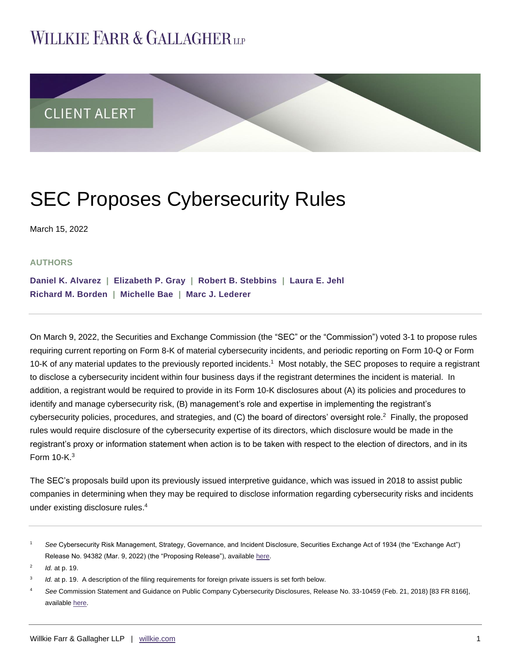## **WILLKIE FARR & GALLAGHERUP**



# SEC Proposes Cybersecurity Rules

March 15, 2022

#### **AUTHORS**

**[Daniel K. Alvarez](https://www.willkie.com/professionals/a/alvarez-daniel) | [Elizabeth P. Gray](https://www.willkie.com/professionals/g/gray-elizabeth-p) | [Robert B. Stebbins](https://www.willkie.com/professionals/s/stebbins-robert) | [Laura E. Jehl](https://www.willkie.com/professionals/j/jehl-laura)  [Richard M. Borden](https://www.willkie.com/professionals/b/borden-rick) | [Michelle Bae](https://www.willkie.com/professionals/b/bae-eun-jung) | [Marc J. Lederer](https://www.willkie.com/professionals/l/lederer-marc-j)** 

On March 9, 2022, the Securities and Exchange Commission (the "SEC" or the "Commission") voted 3-1 to propose rules requiring current reporting on Form 8-K of material cybersecurity incidents, and periodic reporting on Form 10-Q or Form 10-K of any material updates to the previously reported incidents.<sup>1</sup> Most notably, the SEC proposes to require a registrant to disclose a cybersecurity incident within four business days if the registrant determines the incident is material. In addition, a registrant would be required to provide in its Form 10-K disclosures about (A) its policies and procedures to identify and manage cybersecurity risk, (B) management's role and expertise in implementing the registrant's cybersecurity policies, procedures, and strategies, and (C) the board of directors' oversight role.<sup>2</sup> Finally, the proposed rules would require disclosure of the cybersecurity expertise of its directors, which disclosure would be made in the registrant's proxy or information statement when action is to be taken with respect to the election of directors, and in its Form 10-K. $3$ 

The SEC's proposals build upon its previously issued interpretive guidance, which was issued in 2018 to assist public companies in determining when they may be required to disclose information regarding cybersecurity risks and incidents under existing disclosure rules.<sup>4</sup>

2 *Id.* at p. 19.

<sup>1</sup> *See* Cybersecurity Risk Management, Strategy, Governance, and Incident Disclosure, Securities Exchange Act of 1934 (the "Exchange Act") Release No. 94382 (Mar. 9, 2022) (the "Proposing Release"), available [here.](https://www.sec.gov/rules/proposed/2022/33-11038.pdf)

<sup>3</sup> *Id.* at p. 19. A description of the filing requirements for foreign private issuers is set forth below.

<sup>4</sup> *See* Commission Statement and Guidance on Public Company Cybersecurity Disclosures, Release No. 33-10459 (Feb. 21, 2018) [83 FR 8166], available [here.](https://communications.willkie.com/email_handler.aspx?sid=blankform&redirect=https%3a%2f%2fwww.sec.gov%2frules%2finterp%2f2018%2f33-10459.pdf&checksum=58FA9A44)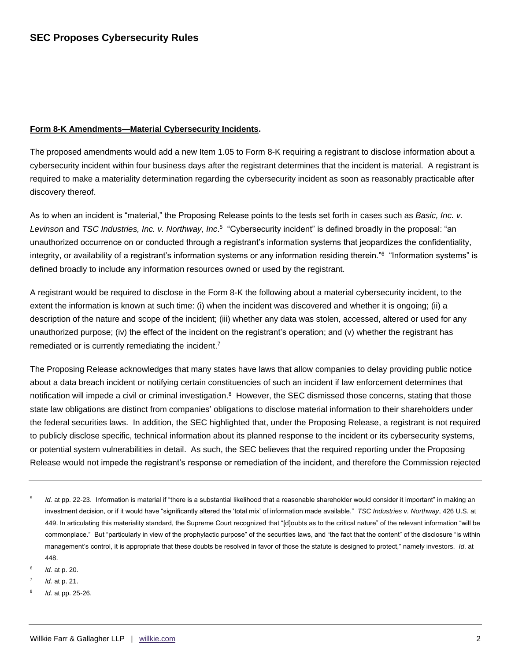#### **Form 8-K Amendments—Material Cybersecurity Incidents.**

The proposed amendments would add a new Item 1.05 to Form 8-K requiring a registrant to disclose information about a cybersecurity incident within four business days after the registrant determines that the incident is material. A registrant is required to make a materiality determination regarding the cybersecurity incident as soon as reasonably practicable after discovery thereof.

As to when an incident is "material," the Proposing Release points to the tests set forth in cases such as *Basic, Inc. v.*  Levinson and *TSC Industries, Inc. v. Northway, Inc*.<sup>5</sup> "Cybersecurity incident" is defined broadly in the proposal: "an unauthorized occurrence on or conducted through a registrant's information systems that jeopardizes the confidentiality, integrity, or availability of a registrant's information systems or any information residing therein."<sup>6</sup> "Information systems" is defined broadly to include any information resources owned or used by the registrant.

A registrant would be required to disclose in the Form 8-K the following about a material cybersecurity incident, to the extent the information is known at such time: (i) when the incident was discovered and whether it is ongoing; (ii) a description of the nature and scope of the incident; (iii) whether any data was stolen, accessed, altered or used for any unauthorized purpose; (iv) the effect of the incident on the registrant's operation; and (v) whether the registrant has remediated or is currently remediating the incident. $7$ 

The Proposing Release acknowledges that many states have laws that allow companies to delay providing public notice about a data breach incident or notifying certain constituencies of such an incident if law enforcement determines that notification will impede a civil or criminal investigation.<sup>8</sup> However, the SEC dismissed those concerns, stating that those state law obligations are distinct from companies' obligations to disclose material information to their shareholders under the federal securities laws. In addition, the SEC highlighted that, under the Proposing Release, a registrant is not required to publicly disclose specific, technical information about its planned response to the incident or its cybersecurity systems, or potential system vulnerabilities in detail. As such, the SEC believes that the required reporting under the Proposing Release would not impede the registrant's response or remediation of the incident, and therefore the Commission rejected

- 5 *Id.* at pp. 22-23. Information is material if "there is a substantial likelihood that a reasonable shareholder would consider it important" in making an investment decision, or if it would have "significantly altered the 'total mix' of information made available." *TSC Industries v. Northway*, 426 U.S. at 449. In articulating this materiality standard, the Supreme Court recognized that "[d]oubts as to the critical nature" of the relevant information "will be commonplace." But "particularly in view of the prophylactic purpose" of the securities laws, and "the fact that the content" of the disclosure "is within management's control, it is appropriate that these doubts be resolved in favor of those the statute is designed to protect," namely investors. *Id*. at 448.
- 6 *Id.* at p. 20.
- 7 *Id.* at p. 21.
- 8 *Id.* at pp. 25-26.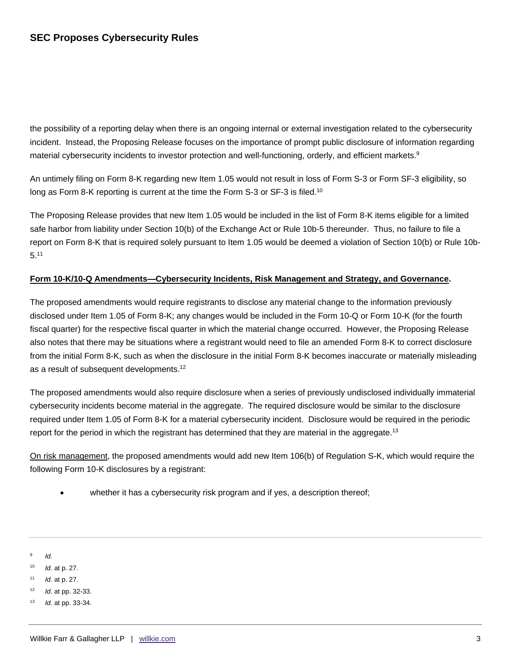the possibility of a reporting delay when there is an ongoing internal or external investigation related to the cybersecurity incident. Instead, the Proposing Release focuses on the importance of prompt public disclosure of information regarding material cybersecurity incidents to investor protection and well-functioning, orderly, and efficient markets.<sup>9</sup>

An untimely filing on Form 8-K regarding new Item 1.05 would not result in loss of Form S-3 or Form SF-3 eligibility, so long as Form 8-K reporting is current at the time the Form S-3 or SF-3 is filed.<sup>10</sup>

The Proposing Release provides that new Item 1.05 would be included in the list of Form 8-K items eligible for a limited safe harbor from liability under Section 10(b) of the Exchange Act or Rule 10b-5 thereunder. Thus, no failure to file a report on Form 8-K that is required solely pursuant to Item 1.05 would be deemed a violation of Section 10(b) or Rule 10b- $5^{.11}$ 

#### **Form 10-K/10-Q Amendments—Cybersecurity Incidents, Risk Management and Strategy, and Governance.**

The proposed amendments would require registrants to disclose any material change to the information previously disclosed under Item 1.05 of Form 8-K; any changes would be included in the Form 10-Q or Form 10-K (for the fourth fiscal quarter) for the respective fiscal quarter in which the material change occurred. However, the Proposing Release also notes that there may be situations where a registrant would need to file an amended Form 8-K to correct disclosure from the initial Form 8-K, such as when the disclosure in the initial Form 8-K becomes inaccurate or materially misleading as a result of subsequent developments.<sup>12</sup>

The proposed amendments would also require disclosure when a series of previously undisclosed individually immaterial cybersecurity incidents become material in the aggregate. The required disclosure would be similar to the disclosure required under Item 1.05 of Form 8-K for a material cybersecurity incident. Disclosure would be required in the periodic report for the period in which the registrant has determined that they are material in the aggregate.<sup>13</sup>

On risk management, the proposed amendments would add new Item 106(b) of Regulation S-K, which would require the following Form 10-K disclosures by a registrant:

- whether it has a cybersecurity risk program and if yes, a description thereof;
- 9 *Id.*
- <sup>10</sup> *Id.* at p. 27.
- <sup>11</sup> *Id.* at p. 27.
- <sup>12</sup> *Id.* at pp. 32-33.
- <sup>13</sup> *Id.* at pp. 33-34.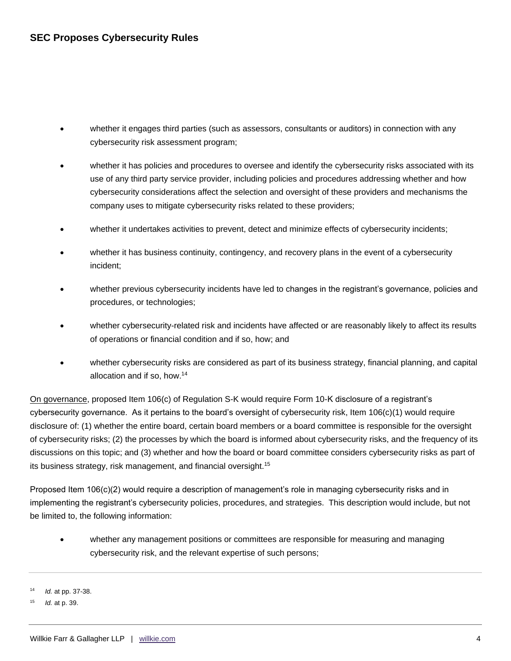- whether it engages third parties (such as assessors, consultants or auditors) in connection with any cybersecurity risk assessment program;
- whether it has policies and procedures to oversee and identify the cybersecurity risks associated with its use of any third party service provider, including policies and procedures addressing whether and how cybersecurity considerations affect the selection and oversight of these providers and mechanisms the company uses to mitigate cybersecurity risks related to these providers;
- whether it undertakes activities to prevent, detect and minimize effects of cybersecurity incidents;
- whether it has business continuity, contingency, and recovery plans in the event of a cybersecurity incident;
- whether previous cybersecurity incidents have led to changes in the registrant's governance, policies and procedures, or technologies;
- whether cybersecurity-related risk and incidents have affected or are reasonably likely to affect its results of operations or financial condition and if so, how; and
- whether cybersecurity risks are considered as part of its business strategy, financial planning, and capital allocation and if so, how. 14

On governance, proposed Item 106(c) of Regulation S-K would require Form 10-K disclosure of a registrant's cybersecurity governance. As it pertains to the board's oversight of cybersecurity risk, Item 106(c)(1) would require disclosure of: (1) whether the entire board, certain board members or a board committee is responsible for the oversight of cybersecurity risks; (2) the processes by which the board is informed about cybersecurity risks, and the frequency of its discussions on this topic; and (3) whether and how the board or board committee considers cybersecurity risks as part of its business strategy, risk management, and financial oversight.<sup>15</sup>

Proposed Item 106(c)(2) would require a description of management's role in managing cybersecurity risks and in implementing the registrant's cybersecurity policies, procedures, and strategies. This description would include, but not be limited to, the following information:

 whether any management positions or committees are responsible for measuring and managing cybersecurity risk, and the relevant expertise of such persons;

<sup>14</sup> *Id.* at pp. 37-38.

*Id.* at p. 39.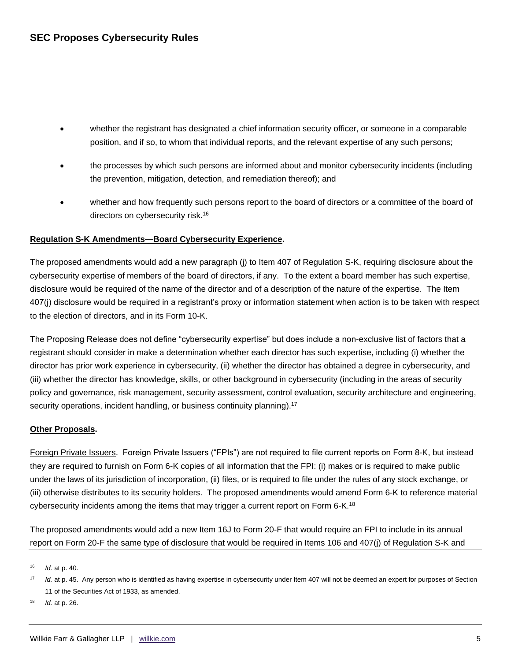- whether the registrant has designated a chief information security officer, or someone in a comparable position, and if so, to whom that individual reports, and the relevant expertise of any such persons;
- the processes by which such persons are informed about and monitor cybersecurity incidents (including the prevention, mitigation, detection, and remediation thereof); and
- whether and how frequently such persons report to the board of directors or a committee of the board of directors on cybersecurity risk.<sup>16</sup>

### **Regulation S-K Amendments—Board Cybersecurity Experience.**

The proposed amendments would add a new paragraph (j) to Item 407 of Regulation S-K, requiring disclosure about the cybersecurity expertise of members of the board of directors, if any. To the extent a board member has such expertise, disclosure would be required of the name of the director and of a description of the nature of the expertise. The Item 407(j) disclosure would be required in a registrant's proxy or information statement when action is to be taken with respect to the election of directors, and in its Form 10-K.

The Proposing Release does not define "cybersecurity expertise" but does include a non-exclusive list of factors that a registrant should consider in make a determination whether each director has such expertise, including (i) whether the director has prior work experience in cybersecurity, (ii) whether the director has obtained a degree in cybersecurity, and (iii) whether the director has knowledge, skills, or other background in cybersecurity (including in the areas of security policy and governance, risk management, security assessment, control evaluation, security architecture and engineering, security operations, incident handling, or business continuity planning).<sup>17</sup>

#### **Other Proposals.**

Foreign Private Issuers. Foreign Private Issuers ("FPIs") are not required to file current reports on Form 8-K, but instead they are required to furnish on Form 6-K copies of all information that the FPI: (i) makes or is required to make public under the laws of its jurisdiction of incorporation, (ii) files, or is required to file under the rules of any stock exchange, or (iii) otherwise distributes to its security holders. The proposed amendments would amend Form 6-K to reference material cybersecurity incidents among the items that may trigger a current report on Form 6-K.<sup>18</sup>

The proposed amendments would add a new Item 16J to Form 20-F that would require an FPI to include in its annual report on Form 20-F the same type of disclosure that would be required in Items 106 and 407(j) of Regulation S-K and

<sup>16</sup> *Id.* at p. 40.

<sup>&</sup>lt;sup>17</sup> *Id.* at p. 45. Any person who is identified as having expertise in cybersecurity under Item 407 will not be deemed an expert for purposes of Section 11 of the Securities Act of 1933, as amended.

<sup>18</sup> *Id.* at p. 26.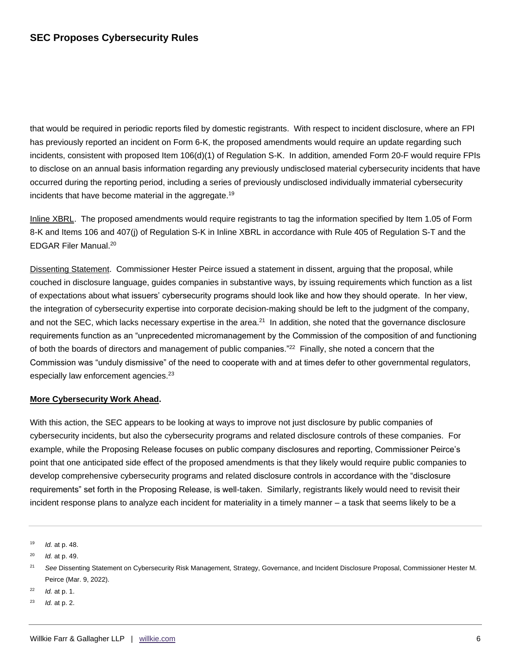that would be required in periodic reports filed by domestic registrants. With respect to incident disclosure, where an FPI has previously reported an incident on Form 6-K, the proposed amendments would require an update regarding such incidents, consistent with proposed Item 106(d)(1) of Regulation S-K. In addition, amended Form 20-F would require FPIs to disclose on an annual basis information regarding any previously undisclosed material cybersecurity incidents that have occurred during the reporting period, including a series of previously undisclosed individually immaterial cybersecurity incidents that have become material in the aggregate.<sup>19</sup>

Inline XBRL. The proposed amendments would require registrants to tag the information specified by Item 1.05 of Form 8-K and Items 106 and 407(j) of Regulation S-K in Inline XBRL in accordance with Rule 405 of Regulation S-T and the EDGAR Filer Manual.<sup>20</sup>

Dissenting Statement. Commissioner Hester Peirce issued a statement in dissent, arguing that the proposal, while couched in disclosure language, guides companies in substantive ways, by issuing requirements which function as a list of expectations about what issuers' cybersecurity programs should look like and how they should operate. In her view, the integration of cybersecurity expertise into corporate decision-making should be left to the judgment of the company, and not the SEC, which lacks necessary expertise in the area.<sup>21</sup> In addition, she noted that the governance disclosure requirements function as an "unprecedented micromanagement by the Commission of the composition of and functioning of both the boards of directors and management of public companies."<sup>22</sup> Finally, she noted a concern that the Commission was "unduly dismissive" of the need to cooperate with and at times defer to other governmental regulators, especially law enforcement agencies.<sup>23</sup>

#### **More Cybersecurity Work Ahead.**

With this action, the SEC appears to be looking at ways to improve not just disclosure by public companies of cybersecurity incidents, but also the cybersecurity programs and related disclosure controls of these companies. For example, while the Proposing Release focuses on public company disclosures and reporting, Commissioner Peirce's point that one anticipated side effect of the proposed amendments is that they likely would require public companies to develop comprehensive cybersecurity programs and related disclosure controls in accordance with the "disclosure requirements" set forth in the Proposing Release, is well-taken. Similarly, registrants likely would need to revisit their incident response plans to analyze each incident for materiality in a timely manner – a task that seems likely to be a

<sup>19</sup> *Id.* at p. 48.

<sup>20</sup> *Id.* at p. 49.

<sup>22</sup> *Id.* at p. 1.

<sup>21</sup> *See* Dissenting Statement on Cybersecurity Risk Management, Strategy, Governance, and Incident Disclosure Proposal, Commissioner Hester M. Peirce (Mar. 9, 2022).

*Id.* at p. 2.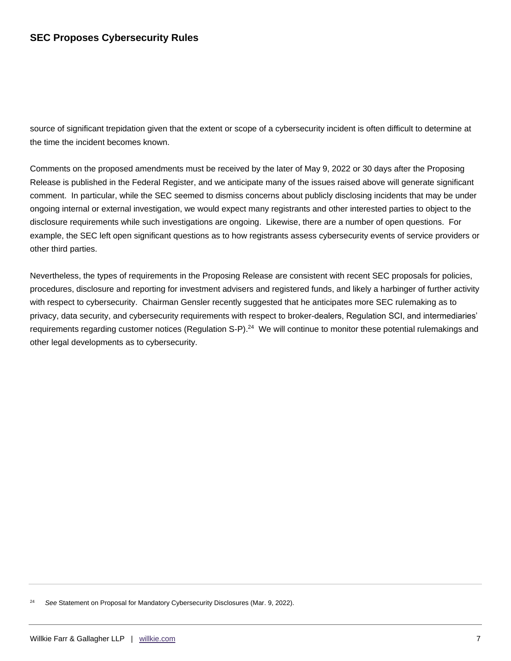source of significant trepidation given that the extent or scope of a cybersecurity incident is often difficult to determine at the time the incident becomes known.

Comments on the proposed amendments must be received by the later of May 9, 2022 or 30 days after the Proposing Release is published in the Federal Register, and we anticipate many of the issues raised above will generate significant comment. In particular, while the SEC seemed to dismiss concerns about publicly disclosing incidents that may be under ongoing internal or external investigation, we would expect many registrants and other interested parties to object to the disclosure requirements while such investigations are ongoing. Likewise, there are a number of open questions. For example, the SEC left open significant questions as to how registrants assess cybersecurity events of service providers or other third parties.

Nevertheless, the types of requirements in the Proposing Release are consistent with recent SEC proposals for policies, procedures, disclosure and reporting for investment advisers and registered funds, and likely a harbinger of further activity with respect to cybersecurity. Chairman Gensler recently suggested that he anticipates more SEC rulemaking as to privacy, data security, and cybersecurity requirements with respect to broker-dealers, Regulation SCI, and intermediaries' requirements regarding customer notices (Regulation S-P).<sup>24</sup> We will continue to monitor these potential rulemakings and other legal developments as to cybersecurity.

<sup>24</sup> *See* Statement on Proposal for Mandatory Cybersecurity Disclosures (Mar. 9, 2022).